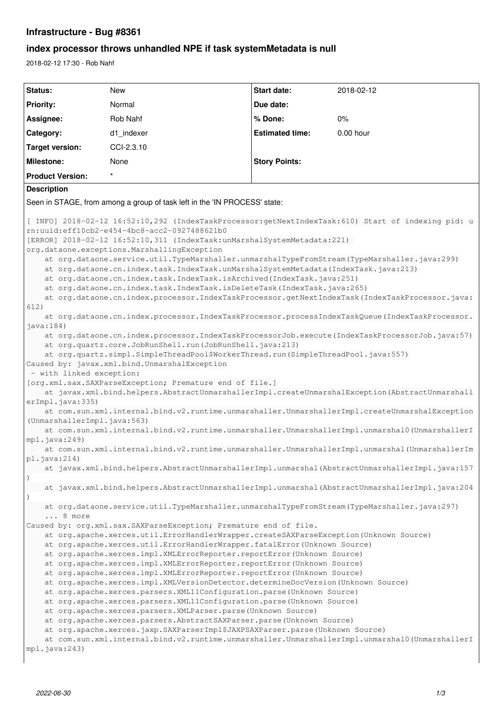# **Infrastructure - Bug #8361**

# **index processor throws unhandled NPE if task systemMetadata is null**

2018-02-12 17:30 - Rob Nahf

```
Status: New Start date: 2018-02-12
Priority: Normal Due date:
Assignee: Rob Nahf % Done: 0%
Category: d1_indexer Estimated time: 0.00 hour
Target version: CCI-2.3.10
Milestone: None Story Points:
Product Version:
Description
Seen in STAGE, from among a group of task left in the 'IN PROCESS' state:
[ INFO] 2018-02-12 16:52:10,292 (IndexTaskProcessor:getNextIndexTask:610) Start of indexing pid: u
rn:uuid:eff10cb2-e454-4bc8-acc2-0927488621b0
[ERROR] 2018-02-12 16:52:10,311 (IndexTask:unMarshalSystemMetadata:221) 
org.dataone.exceptions.MarshallingException
       at org.dataone.service.util.TypeMarshaller.unmarshalTypeFromStream(TypeMarshaller.java:299)
       at org.dataone.cn.index.task.IndexTask.unMarshalSystemMetadata(IndexTask.java:213)
       at org.dataone.cn.index.task.IndexTask.isArchived(IndexTask.java:251)
       at org.dataone.cn.index.task.IndexTask.isDeleteTask(IndexTask.java:265)
       at org.dataone.cn.index.processor.IndexTaskProcessor.getNextIndexTask(IndexTaskProcessor.java:
612)
       at org.dataone.cn.index.processor.IndexTaskProcessor.processIndexTaskQueue(IndexTaskProcessor.
java:184)
       at org.dataone.cn.index.processor.IndexTaskProcessorJob.execute(IndexTaskProcessorJob.java:57)
       at org.quartz.core.JobRunShell.run(JobRunShell.java:213)
       at org.quartz.simpl.SimpleThreadPool$WorkerThread.run(SimpleThreadPool.java:557)
Caused by: javax.xml.bind.UnmarshalException
 - with linked exception:
[org.xml.sax.SAXParseException; Premature end of file.]
       at javax.xml.bind.helpers.AbstractUnmarshallerImpl.createUnmarshalException(AbstractUnmarshall
erImpl.java:335)
       at com.sun.xml.internal.bind.v2.runtime.unmarshaller.UnmarshallerImpl.createUnmarshalException
(UnmarshallerImpl.java:563)
       at com.sun.xml.internal.bind.v2.runtime.unmarshaller.UnmarshallerImpl.unmarshal0(UnmarshallerI
mpl.java:249)
       at com.sun.xml.internal.bind.v2.runtime.unmarshaller.UnmarshallerImpl.unmarshal(UnmarshallerIm
pl.java:214)
       at javax.xml.bind.helpers.AbstractUnmarshallerImpl.unmarshal(AbstractUnmarshallerImpl.java:157
)
       at javax.xml.bind.helpers.AbstractUnmarshallerImpl.unmarshal(AbstractUnmarshallerImpl.java:204
)
       at org.dataone.service.util.TypeMarshaller.unmarshalTypeFromStream(TypeMarshaller.java:297)
        ... 8 more
Caused by: org.xml.sax.SAXParseException; Premature end of file.
       at org.apache.xerces.util.ErrorHandlerWrapper.createSAXParseException(Unknown Source)
       at org.apache.xerces.util.ErrorHandlerWrapper.fatalError(Unknown Source)
       at org.apache.xerces.impl.XMLErrorReporter.reportError(Unknown Source)
       at org.apache.xerces.impl.XMLErrorReporter.reportError(Unknown Source)
       at org.apache.xerces.impl.XMLErrorReporter.reportError(Unknown Source)
       at org.apache.xerces.impl.XMLVersionDetector.determineDocVersion(Unknown Source)
       at org.apache.xerces.parsers.XML11Configuration.parse(Unknown Source)
       at org.apache.xerces.parsers.XML11Configuration.parse(Unknown Source)
       at org.apache.xerces.parsers.XMLParser.parse(Unknown Source)
       at org.apache.xerces.parsers.AbstractSAXParser.parse(Unknown Source)
       at org.apache.xerces.jaxp.SAXParserImpl$JAXPSAXParser.parse(Unknown Source)
       at com.sun.xml.internal.bind.v2.runtime.unmarshaller.UnmarshallerImpl.unmarshal0(UnmarshallerI
mpl.java:243)
```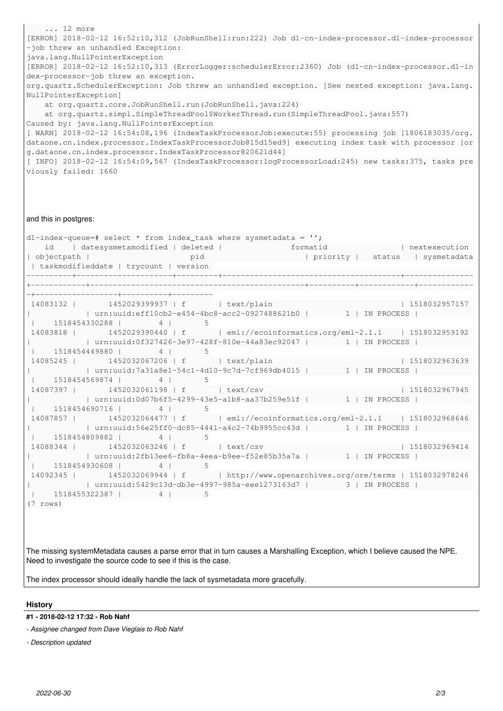... 12 more [ERROR] 2018-02-12 16:52:10,312 (JobRunShell:run:222) Job d1-cn-index-processor.d1-index-processor -job threw an unhandled Exception: java.lang.NullPointerException [ERROR] 2018-02-12 16:52:10,313 (ErrorLogger:schedulerError:2360) Job (d1-cn-index-processor.d1-in dex-processor-job threw an exception. org.quartz.SchedulerException: Job threw an unhandled exception. [See nested exception: java.lang. NullPointerException] at org.quartz.core.JobRunShell.run(JobRunShell.java:224) at org.quartz.simpl.SimpleThreadPool\$WorkerThread.run(SimpleThreadPool.java:557) Caused by: java.lang.NullPointerException [ WARN] 2018-02-12 16:54:08,196 (IndexTaskProcessorJob:execute:55) processing job [1806183035/org. dataone.cn.index.processor.IndexTaskProcessorJob@15d15ed9] executing index task with processor [or g.dataone.cn.index.processor.IndexTaskProcessor@20621d44] [ INFO] 2018-02-12 16:54:09,567 (IndexTaskProcessor:logProcessorLoad:245) new tasks:375, tasks pre viously failed: 1660

#### and this in postgres:

| dl-index-queue=# select * from index_task where sysmetadata = $\cdot$ ;              |  |  |
|--------------------------------------------------------------------------------------|--|--|
| id   datesysmetamodified   deleted   mate formatid   nextexecution                   |  |  |
|                                                                                      |  |  |
| taskmodifieddate   trycount   version                                                |  |  |
|                                                                                      |  |  |
|                                                                                      |  |  |
|                                                                                      |  |  |
| 14083132   1452029399937   f   text/plain   1518032957157                            |  |  |
| urn:uuid:eff10cb2-e454-4bc8-acc2-0927488621b0           1   IN PROCESS               |  |  |
| $1 1518454330288$ $4$ $1$ 5                                                          |  |  |
| 14083818   1452029390440   f   eml://ecoinformatics.org/eml-2.1.1   1518032959192    |  |  |
| urn:uuid:0f327426-3e97-428f-810e-44a83ec92047             1   IN PROCESS             |  |  |
| $\vert$ 1518454449880   4   5                                                        |  |  |
| 14085245   1452032067206   f   text/plain   1518032963639                            |  |  |
| urn:uuid:7a31a8e1-54c1-4d10-9c7d-7cf969db4015   1   IN PROCESS                       |  |  |
| $1 1518454569874$ $4$ $1$ 5                                                          |  |  |
| 14087397   1452032061198   f   text/csv   1518032967945                              |  |  |
| urn:uuid:0d07b6f5-4299-43e5-a1b8-aa37b259e51f             1   IN PROCESS             |  |  |
| $1 1518454690716$ $4$ $1$ 5                                                          |  |  |
| 14087857   1452032064477   f   eml://ecoinformatics.org/eml-2.1.1   1518032968646    |  |  |
| urn:uuid:56e25ff0-dc85-4441-a4c2-74b9955cc43d   1   IN PROCESS                       |  |  |
| 1 1518454809882   4   5                                                              |  |  |
| 14088344   1452032063246   f   text/csv   1518032969414                              |  |  |
| urn:uuid:2fb13ee6-fb8a-4eea-b9ee-f52e85b35a7a           1   IN PROCESS               |  |  |
| $1 1518454930608$ $4$ $1$ 5                                                          |  |  |
| 14092345   1452032069944   f   http://www.openarchives.org/ore/terms   1518032978246 |  |  |
| urn:uuid:5429c13d-db3e-4997-985a-eee1273163d7   3   IN PROCESS                       |  |  |
| $1 1518455322387$ $4$ $1$ 5                                                          |  |  |
| $(7 \text{rows})$                                                                    |  |  |
|                                                                                      |  |  |

The missing systemMetadata causes a parse error that in turn causes a Marshalling Exception, which I believe caused the NPE. Need to investigate the source code to see if this is the case.

The index processor should ideally handle the lack of sysmetadata more gracefully.

#### **History**

## **#1 - 2018-02-12 17:32 - Rob Nahf**

*- Assignee changed from Dave Vieglais to Rob Nahf*

*- Description updated*